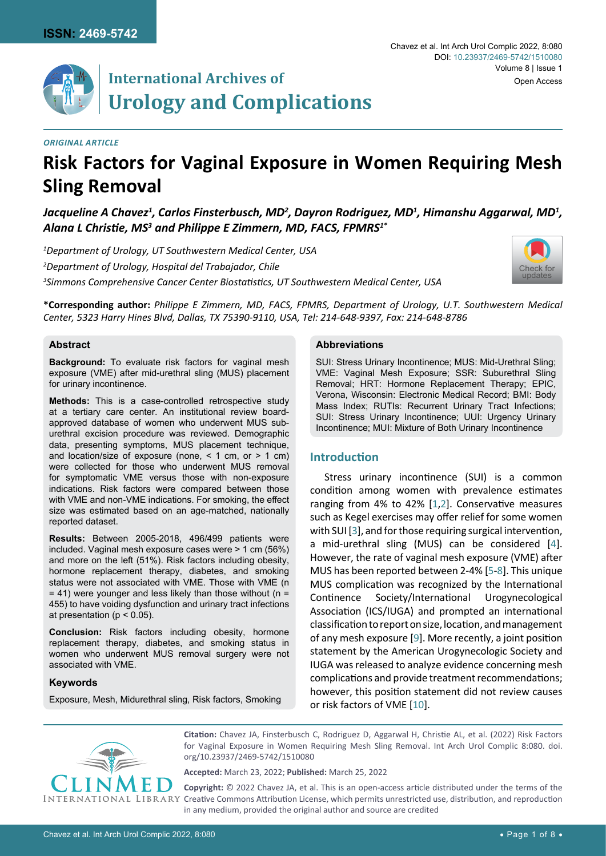

# **International Archives of Urology and Complications**

#### *Original Article*

# **Risk Factors for Vaginal Exposure in Women Requiring Mesh Sling Removal**

Jacqueline A Chavez<sup>1</sup>, Carlos Finsterbusch, MD<sup>2</sup>, Dayron Rodriguez, MD<sup>1</sup>, Himanshu Aggarwal, MD<sup>1</sup>, *Alana L Christie, MS<sup>3</sup> and Philippe E Zimmern, MD, FACS, FPMRS1\**

*1 Department of Urology, UT Southwestern Medical Center, USA 2 Department of Urology, Hospital del Trabajador, Chile 3 Simmons Comprehensive Cancer Center Biostatistics, UT Southwestern Medical Center, USA*



**\*Corresponding author:** *Philippe E Zimmern, MD, FACS, FPMRS, Department of Urology, U.T. Southwestern Medical Center, 5323 Harry Hines Blvd, Dallas, TX 75390-9110, USA, Tel: 214-648-9397, Fax: 214-648-8786*

#### **Abstract**

**Background:** To evaluate risk factors for vaginal mesh exposure (VME) after mid-urethral sling (MUS) placement for urinary incontinence.

**Methods:** This is a case-controlled retrospective study at a tertiary care center. An institutional review boardapproved database of women who underwent MUS suburethral excision procedure was reviewed. Demographic data, presenting symptoms, MUS placement technique, and location/size of exposure (none,  $\leq 1$  cm, or  $\geq 1$  cm) were collected for those who underwent MUS removal for symptomatic VME versus those with non-exposure indications. Risk factors were compared between those with VME and non-VME indications. For smoking, the effect size was estimated based on an age-matched, nationally reported dataset.

**Results:** Between 2005-2018, 496/499 patients were included. Vaginal mesh exposure cases were > 1 cm (56%) and more on the left (51%). Risk factors including obesity, hormone replacement therapy, diabetes, and smoking status were not associated with VME. Those with VME (n  $= 41$ ) were younger and less likely than those without (n = 455) to have voiding dysfunction and urinary tract infections at presentation ( $p < 0.05$ ).

**Conclusion:** Risk factors including obesity, hormone replacement therapy, diabetes, and smoking status in women who underwent MUS removal surgery were not associated with VME.

#### **Keywords**

Exposure, Mesh, Midurethral sling, Risk factors, Smoking

#### **Abbreviations**

SUI: Stress Urinary Incontinence; MUS: Mid-Urethral Sling; VME: Vaginal Mesh Exposure; SSR: Suburethral Sling Removal; HRT: Hormone Replacement Therapy; EPIC, Verona, Wisconsin: Electronic Medical Record; BMI: Body Mass Index; RUTIs: Recurrent Urinary Tract Infections; SUI: Stress Urinary Incontinence; UUI: Urgency Urinary Incontinence; MUI: Mixture of Both Urinary Incontinence

# **Introduction**

Stress urinary incontinence (SUI) is a common condition among women with prevalence estimates ranging from 4% to 42% [[1](#page-6-0),[2](#page-6-1)]. Conservative measures such as Kegel exercises may offer relief for some women with SUI [[3](#page-6-2)], and for those requiring surgical intervention, a mid-urethral sling (MUS) can be considered [\[4\]](#page-6-3). However, the rate of vaginal mesh exposure (VME) after MUS has been reported between 2-4% [[5](#page-6-4)-[8](#page-6-5)]. This unique MUS complication was recognized by the International Continence Society/International Urogynecological Association (ICS/IUGA) and prompted an international classification to report on size, location, and management of any mesh exposure [\[9\]](#page-6-6). More recently, a joint position statement by the American Urogynecologic Society and IUGA was released to analyze evidence concerning mesh complications and provide treatment recommendations; however, this position statement did not review causes or risk factors of VME [[10\]](#page-6-7).



**Citation:** Chavez JA, Finsterbusch C, Rodriguez D, Aggarwal H, Christie AL, et al. (2022) Risk Factors for Vaginal Exposure in Women Requiring Mesh Sling Removal. Int Arch Urol Complic 8:080. [doi.](https://doi.org/10.23937/2469-5742/1510080) [org/10.23937/2469-5742/1510080](https://doi.org/10.23937/2469-5742/1510080)

**Accepted:** March 23, 2022; **Published:** March 25, 2022

**Copyright:** © 2022 Chavez JA, et al. This is an open-access article distributed under the terms of the Creative Commons Attribution License, which permits unrestricted use, distribution, and reproduction in any medium, provided the original author and source are credited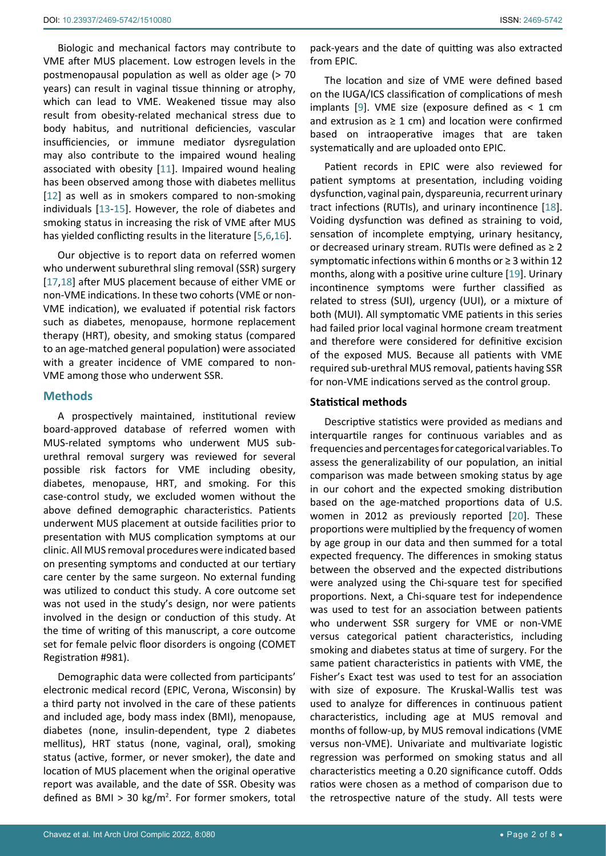Biologic and mechanical factors may contribute to VME after MUS placement. Low estrogen levels in the postmenopausal population as well as older age (> 70 years) can result in vaginal tissue thinning or atrophy, which can lead to VME. Weakened tissue may also result from obesity-related mechanical stress due to body habitus, and nutritional deficiencies, vascular insufficiencies, or immune mediator dysregulation may also contribute to the impaired wound healing associated with obesity [[11](#page-6-8)]. Impaired wound healing has been observed among those with diabetes mellitus [[12](#page-6-9)] as well as in smokers compared to non-smoking individuals [\[13](#page-6-10)-[15\]](#page-7-3). However, the role of diabetes and smoking status in increasing the risk of VME after MUS has yielded conflicting results in the literature [[5](#page-6-4),[6](#page-6-11),[16\]](#page-7-4).

Our objective is to report data on referred women who underwent suburethral sling removal (SSR) surgery [[17](#page-7-5),[18\]](#page-7-0) after MUS placement because of either VME or non-VME indications. In these two cohorts (VME or non-VME indication), we evaluated if potential risk factors such as diabetes, menopause, hormone replacement therapy (HRT), obesity, and smoking status (compared to an age-matched general population) were associated with a greater incidence of VME compared to non-VME among those who underwent SSR.

### **Methods**

A prospectively maintained, institutional review board-approved database of referred women with MUS-related symptoms who underwent MUS suburethral removal surgery was reviewed for several possible risk factors for VME including obesity, diabetes, menopause, HRT, and smoking. For this case-control study, we excluded women without the above defined demographic characteristics. Patients underwent MUS placement at outside facilities prior to presentation with MUS complication symptoms at our clinic. All MUS removal procedures were indicated based on presenting symptoms and conducted at our tertiary care center by the same surgeon. No external funding was utilized to conduct this study. A core outcome set was not used in the study's design, nor were patients involved in the design or conduction of this study. At the time of writing of this manuscript, a core outcome set for female pelvic floor disorders is ongoing (COMET Registration #981).

Demographic data were collected from participants' electronic medical record (EPIC, Verona, Wisconsin) by a third party not involved in the care of these patients and included age, body mass index (BMI), menopause, diabetes (none, insulin-dependent, type 2 diabetes mellitus), HRT status (none, vaginal, oral), smoking status (active, former, or never smoker), the date and location of MUS placement when the original operative report was available, and the date of SSR. Obesity was defined as BMI > 30 kg/m2 . For former smokers, total

pack-years and the date of quitting was also extracted from EPIC.

The location and size of VME were defined based on the IUGA/ICS classification of complications of mesh implants [[9](#page-6-6)]. VME size (exposure defined as  $< 1$  cm and extrusion as  $\geq 1$  cm) and location were confirmed based on intraoperative images that are taken systematically and are uploaded onto EPIC.

Patient records in EPIC were also reviewed for patient symptoms at presentation, including voiding dysfunction, vaginal pain, dyspareunia, recurrent urinary tract infections (RUTIs), and urinary incontinence [\[18\]](#page-7-0). Voiding dysfunction was defined as straining to void, sensation of incomplete emptying, urinary hesitancy, or decreased urinary stream. RUTIs were defined as  $\geq 2$ symptomatic infections within 6 months or ≥ 3 within 12 months, along with a positive urine culture [\[19](#page-7-1)]. Urinary incontinence symptoms were further classified as related to stress (SUI), urgency (UUI), or a mixture of both (MUI). All symptomatic VME patients in this series had failed prior local vaginal hormone cream treatment and therefore were considered for definitive excision of the exposed MUS. Because all patients with VME required sub-urethral MUS removal, patients having SSR for non-VME indications served as the control group.

#### **Statistical methods**

Descriptive statistics were provided as medians and interquartile ranges for continuous variables and as frequencies and percentages for categorical variables. To assess the generalizability of our population, an initial comparison was made between smoking status by age in our cohort and the expected smoking distribution based on the age-matched proportions data of U.S. women in 2012 as previously reported [\[20](#page-7-2)]. These proportions were multiplied by the frequency of women by age group in our data and then summed for a total expected frequency. The differences in smoking status between the observed and the expected distributions were analyzed using the Chi-square test for specified proportions. Next, a Chi-square test for independence was used to test for an association between patients who underwent SSR surgery for VME or non-VME versus categorical patient characteristics, including smoking and diabetes status at time of surgery. For the same patient characteristics in patients with VME, the Fisher's Exact test was used to test for an association with size of exposure. The Kruskal-Wallis test was used to analyze for differences in continuous patient characteristics, including age at MUS removal and months of follow-up, by MUS removal indications (VME versus non-VME). Univariate and multivariate logistic regression was performed on smoking status and all characteristics meeting a 0.20 significance cutoff. Odds ratios were chosen as a method of comparison due to the retrospective nature of the study. All tests were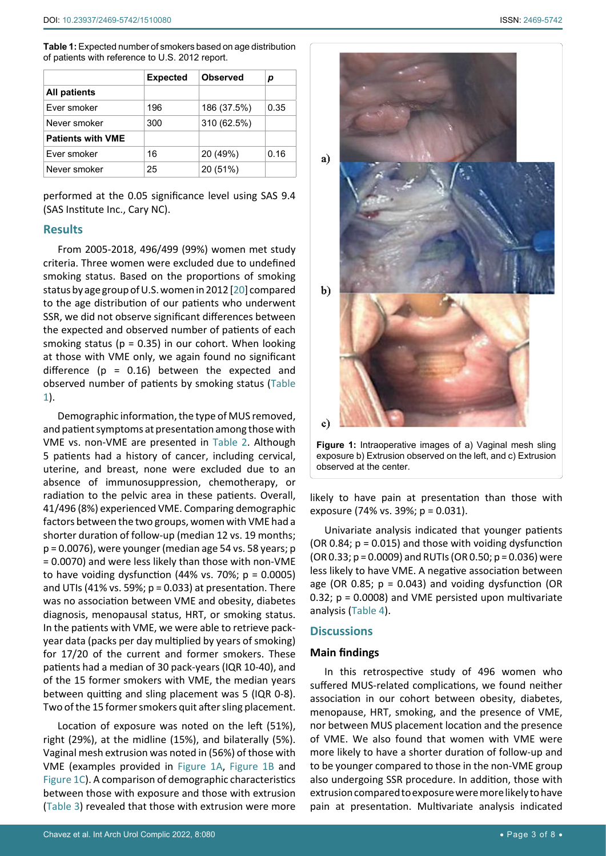<span id="page-2-0"></span>**Table 1:** Expected number of smokers based on age distribution of patients with reference to U.S. 2012 report.

<span id="page-2-1"></span>Ī

|                          | <b>Expected</b> | <b>Observed</b> | р    |
|--------------------------|-----------------|-----------------|------|
| <b>All patients</b>      |                 |                 |      |
| Ever smoker              | 196             | 186 (37.5%)     | 0.35 |
| Never smoker             | 300             | 310 (62.5%)     |      |
| <b>Patients with VME</b> |                 |                 |      |
| Ever smoker              | 16              | 20 (49%)        | 0.16 |
| Never smoker             | 25              | 20 (51%)        |      |

performed at the 0.05 significance level using SAS 9.4 (SAS Institute Inc., Cary NC).

### **Results**

From 2005-2018, 496/499 (99%) women met study criteria. Three women were excluded due to undefined smoking status. Based on the proportions of smoking status by age group of U.S. women in 2012 [\[20](#page-7-2)] compared to the age distribution of our patients who underwent SSR, we did not observe significant differences between the expected and observed number of patients of each smoking status ( $p = 0.35$ ) in our cohort. When looking at those with VME only, we again found no significant difference ( $p = 0.16$ ) between the expected and observed number of patients by smoking status [\(Table](#page-2-0)  [1](#page-2-0)).

Demographic information, the type of MUS removed, and patient symptoms at presentation among those with VME vs. non-VME are presented in [Table](#page-3-0) 2. Although 5 patients had a history of cancer, including cervical, uterine, and breast, none were excluded due to an absence of immunosuppression, chemotherapy, or radiation to the pelvic area in these patients. Overall, 41/496 (8%) experienced VME. Comparing demographic factors between the two groups, women with VME had a shorter duration of follow-up (median 12 vs. 19 months; p = 0.0076), were younger (median age 54 vs. 58 years; p = 0.0070) and were less likely than those with non-VME to have voiding dysfunction  $(44\% \text{ vs. } 70\%; \text{ p} = 0.0005)$ and UTIs (41% vs. 59%;  $p = 0.033$ ) at presentation. There was no association between VME and obesity, diabetes diagnosis, menopausal status, HRT, or smoking status. In the patients with VME, we were able to retrieve packyear data (packs per day multiplied by years of smoking) for 17/20 of the current and former smokers. These patients had a median of 30 pack-years (IQR 10-40), and of the 15 former smokers with VME, the median years between quitting and sling placement was 5 (IQR 0-8). Two of the 15 former smokers quit after sling placement.

Location of exposure was noted on the left (51%), right (29%), at the midline (15%), and bilaterally (5%). Vaginal mesh extrusion was noted in (56%) of those with VME (examples provided in [Figure 1A,](#page-2-1) [Figure 1B](#page-2-1) and [Figure 1C](#page-2-1)). A comparison of demographic characteristics between those with exposure and those with extrusion ([Table 3](#page-4-0)) revealed that those with extrusion were more

(OR 0.33; p = 0.0009) and RUTIs (OR 0.50; p = 0.036) were less likely to have VME. A negative association between age (OR 0.85;  $p = 0.043$ ) and voiding dysfunction (OR 0.32; p = 0.0008) and VME persisted upon multivariate analysis [\(Table 4\)](#page-5-0).

#### **Discussions**

#### **Main findings**

In this retrospective study of 496 women who suffered MUS-related complications, we found neither association in our cohort between obesity, diabetes, menopause, HRT, smoking, and the presence of VME, nor between MUS placement location and the presence of VME. We also found that women with VME were more likely to have a shorter duration of follow-up and to be younger compared to those in the non-VME group also undergoing SSR procedure. In addition, those with extrusion compared to exposure were more likely to have pain at presentation. Multivariate analysis indicated

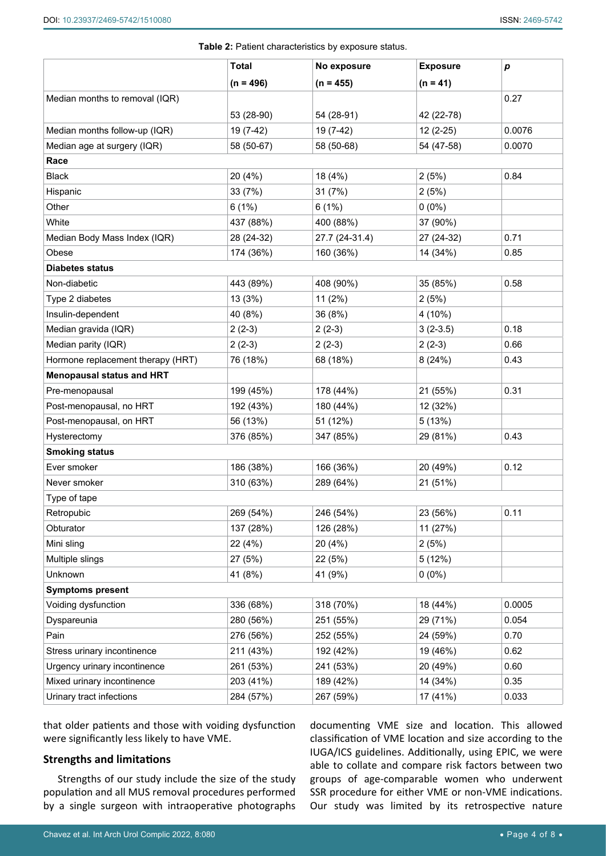<span id="page-3-0"></span>

|                                   |              | Table 2: Patient characteristics by exposure status. |                 |                  |
|-----------------------------------|--------------|------------------------------------------------------|-----------------|------------------|
|                                   | <b>Total</b> | No exposure                                          | <b>Exposure</b> | $\boldsymbol{p}$ |
|                                   | $(n = 496)$  | $(n = 455)$                                          | $(n = 41)$      |                  |
| Median months to removal (IQR)    |              |                                                      |                 | 0.27             |
|                                   | 53 (28-90)   | 54 (28-91)                                           | 42 (22-78)      |                  |
| Median months follow-up (IQR)     | 19 (7-42)    | 19 (7-42)                                            | $12(2-25)$      | 0.0076           |
| Median age at surgery (IQR)       | 58 (50-67)   | 58 (50-68)                                           | 54 (47-58)      | 0.0070           |
| Race                              |              |                                                      |                 |                  |
| <b>Black</b>                      | 20 (4%)      | 18 (4%)                                              | 2(5%)           | 0.84             |
| Hispanic                          | 33 (7%)      | 31 (7%)                                              | 2(5%)           |                  |
| Other                             | 6(1%)        | 6(1%)                                                | $0(0\%)$        |                  |
| White                             | 437 (88%)    | 400 (88%)                                            | 37 (90%)        |                  |
| Median Body Mass Index (IQR)      | 28 (24-32)   | 27.7 (24-31.4)                                       | 27 (24-32)      | 0.71             |
| Obese                             | 174 (36%)    | 160 (36%)                                            | 14 (34%)        | 0.85             |
| <b>Diabetes status</b>            |              |                                                      |                 |                  |
| Non-diabetic                      | 443 (89%)    | 408 (90%)                                            | 35 (85%)        | 0.58             |
| Type 2 diabetes                   | 13 (3%)      | 11 (2%)                                              | 2(5%)           |                  |
| Insulin-dependent                 | 40 (8%)      | 36 (8%)                                              | 4 (10%)         |                  |
| Median gravida (IQR)              | $2(2-3)$     | $2(2-3)$                                             | $3(2-3.5)$      | 0.18             |
| Median parity (IQR)               | $2(2-3)$     | $2(2-3)$                                             | $2(2-3)$        | 0.66             |
| Hormone replacement therapy (HRT) | 76 (18%)     | 68 (18%)                                             | 8(24%)          | 0.43             |
| <b>Menopausal status and HRT</b>  |              |                                                      |                 |                  |
| Pre-menopausal                    | 199 (45%)    | 178 (44%)                                            | 21 (55%)        | 0.31             |
| Post-menopausal, no HRT           | 192 (43%)    | 180 (44%)                                            | 12 (32%)        |                  |
| Post-menopausal, on HRT           | 56 (13%)     | 51 (12%)                                             | 5(13%)          |                  |
| Hysterectomy                      | 376 (85%)    | 347 (85%)                                            | 29 (81%)        | 0.43             |
| <b>Smoking status</b>             |              |                                                      |                 |                  |
| Ever smoker                       | 186 (38%)    | 166 (36%)                                            | 20 (49%)        | 0.12             |
| Never smoker                      | 310 (63%)    | 289 (64%)                                            | 21 (51%)        |                  |
| Type of tape                      |              |                                                      |                 |                  |
| Retropubic                        | 269 (54%)    | 246 (54%)                                            | 23 (56%)        | 0.11             |
| Obturator                         | 137 (28%)    | 126 (28%)                                            | 11 (27%)        |                  |
| Mini sling                        | 22 (4%)      | 20 (4%)                                              | 2(5%)           |                  |
| Multiple slings                   | 27 (5%)      | 22 (5%)                                              | 5(12%)          |                  |
| Unknown                           | 41 (8%)      | 41 (9%)                                              | $0(0\%)$        |                  |
| <b>Symptoms present</b>           |              |                                                      |                 |                  |
| Voiding dysfunction               | 336 (68%)    | 318 (70%)                                            | 18 (44%)        | 0.0005           |
| Dyspareunia                       | 280 (56%)    | 251 (55%)                                            | 29 (71%)        | 0.054            |
| Pain                              | 276 (56%)    | 252 (55%)                                            | 24 (59%)        | 0.70             |
| Stress urinary incontinence       | 211 (43%)    | 192 (42%)                                            | 19 (46%)        | 0.62             |
| Urgency urinary incontinence      | 261 (53%)    | 241 (53%)                                            | 20 (49%)        | 0.60             |
| Mixed urinary incontinence        | 203 (41%)    | 189 (42%)                                            | 14 (34%)        | 0.35             |
| Urinary tract infections          | 284 (57%)    | 267 (59%)                                            | 17 (41%)        | 0.033            |

that older patients and those with voiding dysfunction were significantly less likely to have VME.

# **Strengths and limitations**

Strengths of our study include the size of the study population and all MUS removal procedures performed by a single surgeon with intraoperative photographs documenting VME size and location. This allowed classification of VME location and size according to the IUGA/ICS guidelines. Additionally, using EPIC, we were able to collate and compare risk factors between two groups of age-comparable women who underwent SSR procedure for either VME or non-VME indications. Our study was limited by its retrospective nature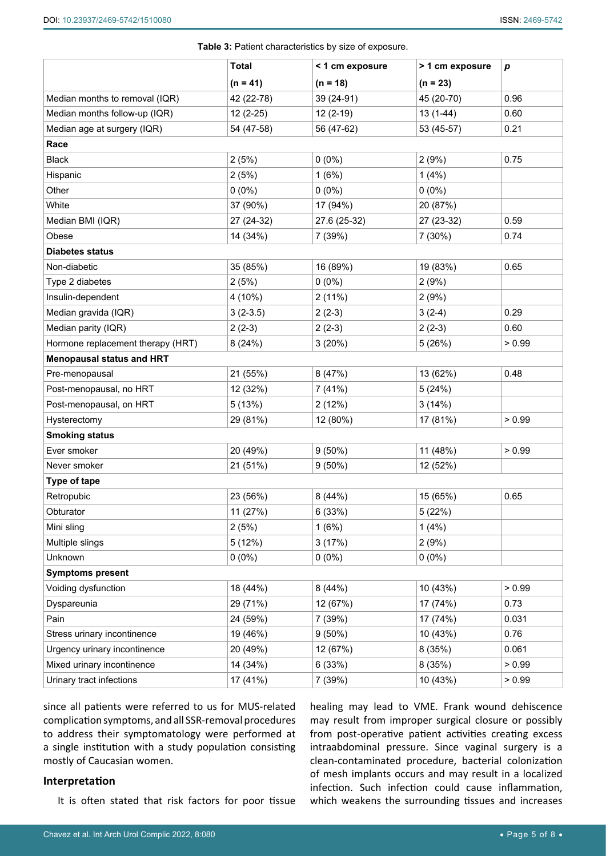|                                   | <b>Total</b> | < 1 cm exposure | > 1 cm exposure | p      |
|-----------------------------------|--------------|-----------------|-----------------|--------|
|                                   | $(n = 41)$   | $(n = 18)$      | $(n = 23)$      |        |
| Median months to removal (IQR)    | 42 (22-78)   | 39 (24-91)      | 45 (20-70)      | 0.96   |
| Median months follow-up (IQR)     | $12(2-25)$   | 12 (2-19)       | $13(1-44)$      | 0.60   |
| Median age at surgery (IQR)       | 54 (47-58)   | 56 (47-62)      | 53 (45-57)      | 0.21   |
| Race                              |              |                 |                 |        |
| <b>Black</b>                      | 2(5%)        | $0(0\%)$        | 2(9%)           | 0.75   |
| Hispanic                          | 2(5%)        | 1(6%)           | 1(4%)           |        |
| Other                             | $0(0\%)$     | $0(0\%)$        | $0(0\%)$        |        |
| White                             | 37 (90%)     | 17 (94%)        | 20 (87%)        |        |
| Median BMI (IQR)                  | 27 (24-32)   | 27.6 (25-32)    | 27 (23-32)      | 0.59   |
| Obese                             | 14 (34%)     | 7 (39%)         | 7 (30%)         | 0.74   |
| <b>Diabetes status</b>            |              |                 |                 |        |
| Non-diabetic                      | 35 (85%)     | 16 (89%)        | 19 (83%)        | 0.65   |
| Type 2 diabetes                   | 2(5%)        | $0(0\%)$        | 2(9%)           |        |
| Insulin-dependent                 | 4 (10%)      | 2(11%)          | 2(9%)           |        |
| Median gravida (IQR)              | $3(2-3.5)$   | $2(2-3)$        | $3(2-4)$        | 0.29   |
| Median parity (IQR)               | $2(2-3)$     | $2(2-3)$        | $2(2-3)$        | 0.60   |
| Hormone replacement therapy (HRT) | 8(24%)       | 3(20%)          | 5(26%)          | > 0.99 |
| <b>Menopausal status and HRT</b>  |              |                 |                 |        |
| Pre-menopausal                    | 21 (55%)     | 8 (47%)         | 13 (62%)        | 0.48   |
| Post-menopausal, no HRT           | 12 (32%)     | 7(41%)          | 5(24%)          |        |
| Post-menopausal, on HRT           | 5(13%)       | 2(12%)          | 3(14%)          |        |
| Hysterectomy                      | 29 (81%)     | 12 (80%)        | 17 (81%)        | > 0.99 |
| <b>Smoking status</b>             |              |                 |                 |        |
| Ever smoker                       | 20 (49%)     | $9(50\%)$       | 11 (48%)        | > 0.99 |
| Never smoker                      | 21 (51%)     | $9(50\%)$       | 12 (52%)        |        |
| Type of tape                      |              |                 |                 |        |
| Retropubic                        | 23 (56%)     | 8(44%)          | 15 (65%)        | 0.65   |
| Obturator                         | 11 (27%)     | 6(33%)          | 5 (22%)         |        |
| Mini sling                        | 2(5%)        | 1(6%)           | 1(4%)           |        |
| Multiple slings                   | 5(12%)       | 3(17%)          | 2(9%)           |        |
| Unknown                           | $0(0\%)$     | $0(0\%)$        | $0(0\%)$        |        |
| <b>Symptoms present</b>           |              |                 |                 |        |
| Voiding dysfunction               | 18 (44%)     | 8(44%)          | 10 (43%)        | > 0.99 |
| Dyspareunia                       | 29 (71%)     | 12 (67%)        | 17 (74%)        | 0.73   |
| Pain                              | 24 (59%)     | 7 (39%)         | 17 (74%)        | 0.031  |
| Stress urinary incontinence       | 19 (46%)     | $9(50\%)$       | 10 (43%)        | 0.76   |
| Urgency urinary incontinence      | 20 (49%)     | 12 (67%)        | 8 (35%)         | 0.061  |
| Mixed urinary incontinence        | 14 (34%)     | 6(33%)          | 8(35%)          | > 0.99 |
| Urinary tract infections          | 17 (41%)     | 7 (39%)         | 10 (43%)        | > 0.99 |

<span id="page-4-0"></span>**Table 3:** Patient characteristics by size of exposure.

since all patients were referred to us for MUS-related complication symptoms, and all SSR-removal procedures to address their symptomatology were performed at a single institution with a study population consisting mostly of Caucasian women.

#### **Interpretation**

It is often stated that risk factors for poor tissue

healing may lead to VME. Frank wound dehiscence may result from improper surgical closure or possibly from post-operative patient activities creating excess intraabdominal pressure. Since vaginal surgery is a clean-contaminated procedure, bacterial colonization of mesh implants occurs and may result in a localized infection. Such infection could cause inflammation, which weakens the surrounding tissues and increases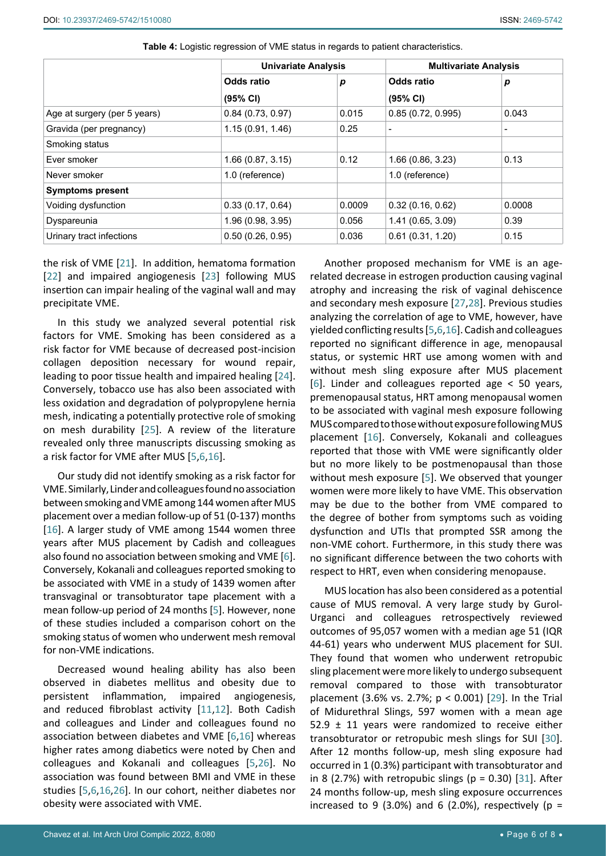|                              |                   | <b>Univariate Analysis</b> |                   | <b>Multivariate Analysis</b> |  |
|------------------------------|-------------------|----------------------------|-------------------|------------------------------|--|
|                              | Odds ratio        | р                          | Odds ratio        | р                            |  |
|                              | (95% CI)          |                            | (95% CI)          |                              |  |
| Age at surgery (per 5 years) | 0.84(0.73, 0.97)  | 0.015                      | 0.85(0.72, 0.995) | 0.043                        |  |
| Gravida (per pregnancy)      | 1.15(0.91, 1.46)  | 0.25                       |                   | $\overline{\phantom{a}}$     |  |
| Smoking status               |                   |                            |                   |                              |  |
| Ever smoker                  | 1.66(0.87, 3.15)  | 0.12                       | 1.66(0.86, 3.23)  | 0.13                         |  |
| Never smoker                 | 1.0 (reference)   |                            | 1.0 (reference)   |                              |  |
| <b>Symptoms present</b>      |                   |                            |                   |                              |  |
| Voiding dysfunction          | 0.33(0.17, 0.64)  | 0.0009                     | 0.32(0.16, 0.62)  | 0.0008                       |  |
| Dyspareunia                  | 1.96 (0.98, 3.95) | 0.056                      | 1.41 (0.65, 3.09) | 0.39                         |  |
| Urinary tract infections     | 0.50(0.26, 0.95)  | 0.036                      | 0.61(0.31, 1.20)  | 0.15                         |  |

<span id="page-5-0"></span>**Table 4:** Logistic regression of VME status in regards to patient characteristics.

the risk of VME [[21\]](#page-7-11). In addition, hematoma formation [[22](#page-7-12)] and impaired angiogenesis [\[23\]](#page-7-13) following MUS insertion can impair healing of the vaginal wall and may precipitate VME.

In this study we analyzed several potential risk factors for VME. Smoking has been considered as a risk factor for VME because of decreased post-incision collagen deposition necessary for wound repair, leading to poor tissue health and impaired healing [\[24](#page-7-14)]. Conversely, tobacco use has also been associated with less oxidation and degradation of polypropylene hernia mesh, indicating a potentially protective role of smoking on mesh durability [[25\]](#page-7-15). A review of the literature revealed only three manuscripts discussing smoking as a risk factor for VME after MUS [[5](#page-6-4),[6](#page-6-11),[16](#page-7-4)].

Our study did not identify smoking as a risk factor for VME. Similarly, Linder and colleagues found no association between smoking and VME among 144 women after MUS placement over a median follow-up of 51 (0-137) months [[16\]](#page-7-4). A larger study of VME among 1544 women three years after MUS placement by Cadish and colleagues also found no association between smoking and VME [\[6](#page-6-11)]. Conversely, Kokanali and colleagues reported smoking to be associated with VME in a study of 1439 women after transvaginal or transobturator tape placement with a mean follow-up period of 24 months [\[5\]](#page-6-4). However, none of these studies included a comparison cohort on the smoking status of women who underwent mesh removal for non-VME indications.

Decreased wound healing ability has also been observed in diabetes mellitus and obesity due to persistent inflammation, impaired angiogenesis, and reduced fibroblast activity [[11](#page-6-8),[12](#page-6-9)]. Both Cadish and colleagues and Linder and colleagues found no association between diabetes and VME [[6](#page-6-11),[16](#page-7-4)] whereas higher rates among diabetics were noted by Chen and colleagues and Kokanali and colleagues [\[5](#page-6-4),[26\]](#page-7-16). No association was found between BMI and VME in these studies [[5](#page-6-4),[6](#page-6-11),[16](#page-7-4),[26\]](#page-7-16). In our cohort, neither diabetes nor obesity were associated with VME.

Another proposed mechanism for VME is an agerelated decrease in estrogen production causing vaginal atrophy and increasing the risk of vaginal dehiscence and secondary mesh exposure [\[27](#page-7-6),[28](#page-7-7)]. Previous studies analyzing the correlation of age to VME, however, have yielded conflicting results [\[5](#page-6-4),[6](#page-6-11),[16\]](#page-7-4). Cadish and colleagues reported no significant difference in age, menopausal status, or systemic HRT use among women with and without mesh sling exposure after MUS placement [\[6\]](#page-6-11). Linder and colleagues reported age < 50 years, premenopausal status, HRT among menopausal women to be associated with vaginal mesh exposure following MUS compared to those without exposure following MUS placement [[16\]](#page-7-4). Conversely, Kokanali and colleagues reported that those with VME were significantly older but no more likely to be postmenopausal than those without mesh exposure [\[5](#page-6-4)]. We observed that younger women were more likely to have VME. This observation may be due to the bother from VME compared to the degree of bother from symptoms such as voiding dysfunction and UTIs that prompted SSR among the non-VME cohort. Furthermore, in this study there was no significant difference between the two cohorts with respect to HRT, even when considering menopause.

MUS location has also been considered as a potential cause of MUS removal. A very large study by Gurol-Urganci and colleagues retrospectively reviewed outcomes of 95,057 women with a median age 51 (IQR 44-61) years who underwent MUS placement for SUI. They found that women who underwent retropubic sling placement were more likely to undergo subsequent removal compared to those with transobturator placement (3.6% vs. 2.7%; p < 0.001) [[29\]](#page-7-8). In the Trial of Midurethral Slings, 597 women with a mean age 52.9  $\pm$  11 years were randomized to receive either transobturator or retropubic mesh slings for SUI [\[30\]](#page-7-9). After 12 months follow-up, mesh sling exposure had occurred in 1 (0.3%) participant with transobturator and in 8 (2.7%) with retropubic slings ( $p = 0.30$ ) [[31\]](#page-7-10). After 24 months follow-up, mesh sling exposure occurrences increased to 9 (3.0%) and 6 (2.0%), respectively ( $p =$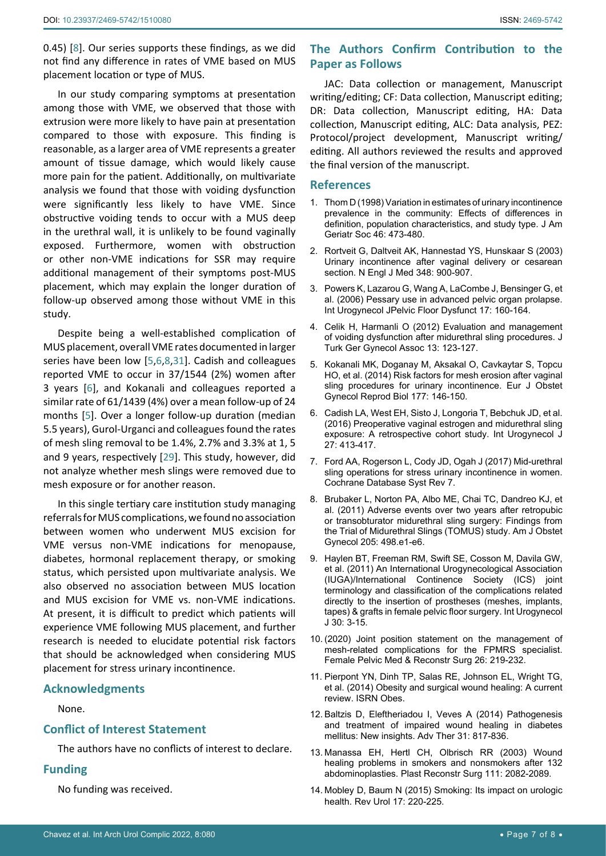0.45) [[8](#page-6-5)]. Our series supports these findings, as we did not find any difference in rates of VME based on MUS placement location or type of MUS.

In our study comparing symptoms at presentation among those with VME, we observed that those with extrusion were more likely to have pain at presentation compared to those with exposure. This finding is reasonable, as a larger area of VME represents a greater amount of tissue damage, which would likely cause more pain for the patient. Additionally, on multivariate analysis we found that those with voiding dysfunction were significantly less likely to have VME. Since obstructive voiding tends to occur with a MUS deep in the urethral wall, it is unlikely to be found vaginally exposed. Furthermore, women with obstruction or other non-VME indications for SSR may require additional management of their symptoms post-MUS placement, which may explain the longer duration of follow-up observed among those without VME in this study.

Despite being a well-established complication of MUS placement, overall VME rates documented in larger series have been low [\[5](#page-6-4),[6](#page-6-11),[8](#page-6-5),[31](#page-7-10)]. Cadish and colleagues reported VME to occur in 37/1544 (2%) women after 3 years [\[6\]](#page-6-11), and Kokanali and colleagues reported a similar rate of 61/1439 (4%) over a mean follow-up of 24 months [[5](#page-6-4)]. Over a longer follow-up duration (median 5.5 years), Gurol-Urganci and colleagues found the rates of mesh sling removal to be 1.4%, 2.7% and 3.3% at 1, 5 and 9 years, respectively [\[29](#page-7-8)]. This study, however, did not analyze whether mesh slings were removed due to mesh exposure or for another reason.

In this single tertiary care institution study managing referrals for MUS complications, we found no association between women who underwent MUS excision for VME versus non-VME indications for menopause, diabetes, hormonal replacement therapy, or smoking status, which persisted upon multivariate analysis. We also observed no association between MUS location and MUS excision for VME vs. non-VME indications. At present, it is difficult to predict which patients will experience VME following MUS placement, and further research is needed to elucidate potential risk factors that should be acknowledged when considering MUS placement for stress urinary incontinence.

# **Acknowledgments**

None.

# **Conflict of Interest Statement**

The authors have no conflicts of interest to declare.

#### **Funding**

No funding was received.

# **The Authors Confirm Contribution to the Paper as Follows**

JAC: Data collection or management, Manuscript writing/editing; CF: Data collection, Manuscript editing; DR: Data collection, Manuscript editing, HA: Data collection, Manuscript editing, ALC: Data analysis, PEZ: Protocol/project development, Manuscript writing/ editing. All authors reviewed the results and approved the final version of the manuscript.

#### **References**

- <span id="page-6-0"></span>1. [Thom D \(1998\) Variation in estimates of urinary incontinence](https://pubmed.ncbi.nlm.nih.gov/9560071/)  [prevalence in the community: Effects of differences in](https://pubmed.ncbi.nlm.nih.gov/9560071/)  [definition, population characteristics, and study type. J Am](https://pubmed.ncbi.nlm.nih.gov/9560071/)  [Geriatr Soc 46: 473-480.](https://pubmed.ncbi.nlm.nih.gov/9560071/)
- <span id="page-6-1"></span>2. [Rortveit G, Daltveit AK, Hannestad YS, Hunskaar S \(2003\)](https://pubmed.ncbi.nlm.nih.gov/12621134/)  [Urinary incontinence after vaginal delivery or cesarean](https://pubmed.ncbi.nlm.nih.gov/12621134/)  [section. N Engl J Med 348: 900-907.](https://pubmed.ncbi.nlm.nih.gov/12621134/)
- <span id="page-6-2"></span>3. [Powers K, Lazarou G, Wang A, LaCombe J, Bensinger G, et](https://pubmed.ncbi.nlm.nih.gov/15883856/)  [al. \(2006\) Pessary use in advanced pelvic organ prolapse.](https://pubmed.ncbi.nlm.nih.gov/15883856/)  [Int Urogynecol JPelvic Floor Dysfunct 17: 160-164.](https://pubmed.ncbi.nlm.nih.gov/15883856/)
- <span id="page-6-3"></span>4. [Celik H, Harmanli O \(2012\) Evaluation and management](https://pubmed.ncbi.nlm.nih.gov/24592021/)  [of voiding dysfunction after midurethral sling procedures. J](https://pubmed.ncbi.nlm.nih.gov/24592021/)  [Turk Ger Gynecol Assoc 13: 123-127.](https://pubmed.ncbi.nlm.nih.gov/24592021/)
- <span id="page-6-4"></span>5. [Kokanali MK, Doganay M, Aksakal O, Cavkaytar S, Topcu](https://pubmed.ncbi.nlm.nih.gov/24793930/)  [HO, et al. \(2014\) Risk factors for mesh erosion after vaginal](https://pubmed.ncbi.nlm.nih.gov/24793930/)  [sling procedures for urinary incontinence. Eur J Obstet](https://pubmed.ncbi.nlm.nih.gov/24793930/)  [Gynecol Reprod Biol 177: 146-150.](https://pubmed.ncbi.nlm.nih.gov/24793930/)
- <span id="page-6-11"></span>6. [Cadish LA, West EH, Sisto J, Longoria T, Bebchuk JD, et al.](https://pubmed.ncbi.nlm.nih.gov/26264475/)  [\(2016\) Preoperative vaginal estrogen and midurethral sling](https://pubmed.ncbi.nlm.nih.gov/26264475/)  [exposure: A retrospective cohort study. Int Urogynecol J](https://pubmed.ncbi.nlm.nih.gov/26264475/)  [27: 413-417.](https://pubmed.ncbi.nlm.nih.gov/26264475/)
- 7. [Ford AA, Rogerson L, Cody JD, Ogah J \(2017\) Mid-urethral](https://pubmed.ncbi.nlm.nih.gov/26130017/)  [sling operations for stress urinary incontinence in women.](https://pubmed.ncbi.nlm.nih.gov/26130017/)  [Cochrane Database Syst Rev 7.](https://pubmed.ncbi.nlm.nih.gov/26130017/)
- <span id="page-6-5"></span>8. [Brubaker L, Norton PA, Albo ME, Chai TC, Dandreo KJ, et](https://pubmed.ncbi.nlm.nih.gov/21925636/)  [al. \(2011\) Adverse events over two years after retropubic](https://pubmed.ncbi.nlm.nih.gov/21925636/)  [or transobturator midurethral sling surgery: Findings from](https://pubmed.ncbi.nlm.nih.gov/21925636/)  [the Trial of Midurethral Slings \(TOMUS\) study. Am J Obstet](https://pubmed.ncbi.nlm.nih.gov/21925636/)  [Gynecol 205: 498.e1-e6.](https://pubmed.ncbi.nlm.nih.gov/21925636/)
- <span id="page-6-6"></span>9. [Haylen BT, Freeman RM, Swift SE, Cosson M, Davila GW,](https://pubmed.ncbi.nlm.nih.gov/21140130/)  [et al. \(2011\) An International Urogynecological Association](https://pubmed.ncbi.nlm.nih.gov/21140130/)  [\(IUGA\)/International Continence Society \(ICS\) joint](https://pubmed.ncbi.nlm.nih.gov/21140130/)  [terminology and classification of the complications related](https://pubmed.ncbi.nlm.nih.gov/21140130/)  [directly to the insertion of prostheses \(meshes, implants,](https://pubmed.ncbi.nlm.nih.gov/21140130/)  [tapes\) & grafts in female pelvic floor surgery. Int Urogynecol](https://pubmed.ncbi.nlm.nih.gov/21140130/)  [J 30: 3-15.](https://pubmed.ncbi.nlm.nih.gov/21140130/)
- <span id="page-6-7"></span>10. [\(2020\) Joint position statement on the management of](https://www.augs.org/assets/1/6/Joint_Position_Statement_on_the_Management_of.1.pdf)  [mesh-related complications for the FPMRS specialist.](https://www.augs.org/assets/1/6/Joint_Position_Statement_on_the_Management_of.1.pdf)  [Female Pelvic Med & Reconstr Surg 26: 219-232.](https://www.augs.org/assets/1/6/Joint_Position_Statement_on_the_Management_of.1.pdf)
- <span id="page-6-8"></span>11. [Pierpont YN, Dinh TP, Salas RE, Johnson EL, Wright TG,](https://pubmed.ncbi.nlm.nih.gov/24701367/)  [et al. \(2014\) Obesity and surgical wound healing: A current](https://pubmed.ncbi.nlm.nih.gov/24701367/)  [review. ISRN Obes.](https://pubmed.ncbi.nlm.nih.gov/24701367/)
- <span id="page-6-9"></span>12. [Baltzis D, Eleftheriadou I, Veves A \(2014\) Pathogenesis](https://pubmed.ncbi.nlm.nih.gov/25069580/)  [and treatment of impaired wound healing in diabetes](https://pubmed.ncbi.nlm.nih.gov/25069580/)  [mellitus: New insights. Adv Ther 31: 817-836.](https://pubmed.ncbi.nlm.nih.gov/25069580/)
- <span id="page-6-10"></span>13. [Manassa EH, Hertl CH, Olbrisch RR \(2003\) Wound](https://pubmed.ncbi.nlm.nih.gov/12711974/)  [healing problems in smokers and nonsmokers after 132](https://pubmed.ncbi.nlm.nih.gov/12711974/)  [abdominoplasties. Plast Reconstr Surg 111: 2082-2089.](https://pubmed.ncbi.nlm.nih.gov/12711974/)
- 14. [Mobley D, Baum N \(2015\) Smoking: Its impact on urologic](https://pubmed.ncbi.nlm.nih.gov/26839519/)  [health. Rev Urol 17: 220-225.](https://pubmed.ncbi.nlm.nih.gov/26839519/)